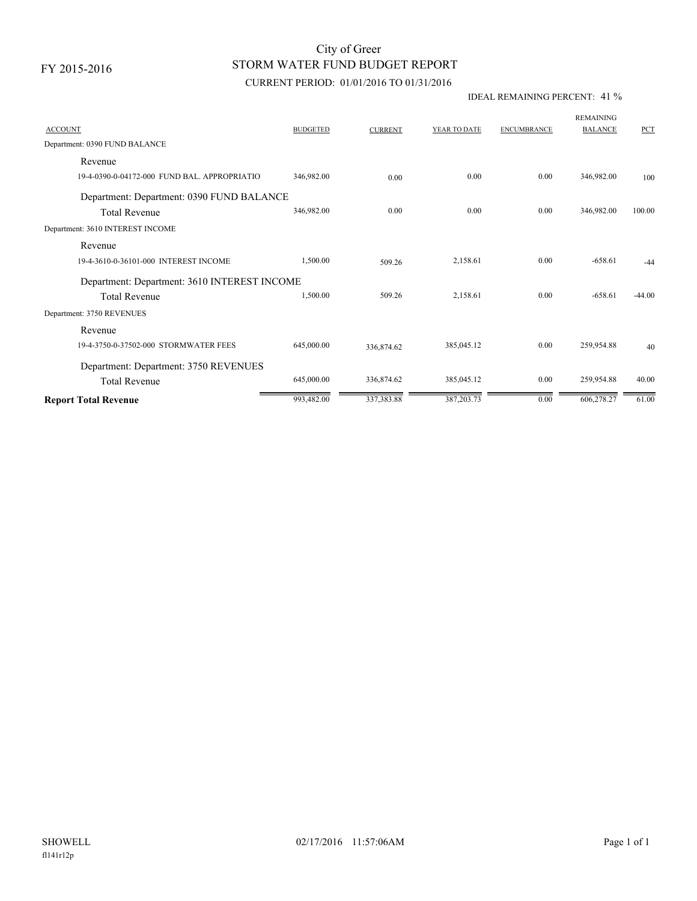FY 2015-2016

# STORM WATER FUND BUDGET REPORT City of Greer

# CURRENT PERIOD: 01/01/2016 TO 01/31/2016

### IDEAL REMAINING PERCENT: 41 %

| <b>ACCOUNT</b>                               | <b>BUDGETED</b> | <b>CURRENT</b> | YEAR TO DATE | <b>ENCUMBRANCE</b> | <b>REMAINING</b><br><b>BALANCE</b> | <b>PCT</b> |
|----------------------------------------------|-----------------|----------------|--------------|--------------------|------------------------------------|------------|
| Department: 0390 FUND BALANCE                |                 |                |              |                    |                                    |            |
| Revenue                                      |                 |                |              |                    |                                    |            |
| 19-4-0390-0-04172-000 FUND BAL. APPROPRIATIO | 346,982.00      | 0.00           | 0.00         | 0.00               | 346,982.00                         | 100        |
| Department: Department: 0390 FUND BALANCE    |                 |                |              |                    |                                    |            |
| <b>Total Revenue</b>                         | 346,982.00      | 0.00           | 0.00         | 0.00               | 346,982.00                         | 100.00     |
| Department: 3610 INTEREST INCOME             |                 |                |              |                    |                                    |            |
| Revenue                                      |                 |                |              |                    |                                    |            |
| 19-4-3610-0-36101-000 INTEREST INCOME        | 1,500.00        | 509.26         | 2,158.61     | 0.00               | $-658.61$                          | $-44$      |
| Department: Department: 3610 INTEREST INCOME |                 |                |              |                    |                                    |            |
| <b>Total Revenue</b>                         | 1,500.00        | 509.26         | 2,158.61     | 0.00               | $-658.61$                          | $-44.00$   |
| Department: 3750 REVENUES                    |                 |                |              |                    |                                    |            |
| Revenue                                      |                 |                |              |                    |                                    |            |
| 19-4-3750-0-37502-000 STORMWATER FEES        | 645,000.00      | 336,874.62     | 385,045.12   | 0.00               | 259,954.88                         | 40         |
| Department: Department: 3750 REVENUES        |                 |                |              |                    |                                    |            |
| <b>Total Revenue</b>                         | 645,000.00      | 336,874.62     | 385,045.12   | 0.00               | 259,954.88                         | 40.00      |
| <b>Report Total Revenue</b>                  | 993,482.00      | 337,383.88     | 387,203.73   | 0.00               | 606,278.27                         | 61.00      |